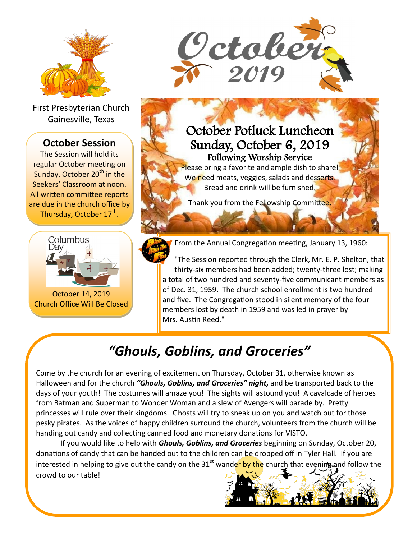

First Presbyterian Church Gainesville, Texas

#### **October Session**

The Session will hold its regular October meeting on Sunday, October 20<sup>th</sup> in the Seekers' Classroom at noon. All written committee reports are due in the church office by Thursday, October 17<sup>th</sup>.



October 14, 2019 Church Office Will Be Closed



## October Potluck Luncheon Sunday, October 6, 2019 Following Worship Service

Please bring a favorite and ample dish to share! We need meats, veggies, salads and desserts. Bread and drink will be furnished.

Thank you from the Fellowship Committee.



From the Annual Congregation meeting, January 13, 1960:

"The Session reported through the Clerk, Mr. E. P. Shelton, that thirty-six members had been added; twenty-three lost; making a total of two hundred and seventy-five communicant members as of Dec. 31, 1959. The church school enrollment is two hundred and five. The Congregation stood in silent memory of the four members lost by death in 1959 and was led in prayer by Mrs. Austin Reed."

# *"Ghouls, Goblins, and Groceries"*

Come by the church for an evening of excitement on Thursday, October 31, otherwise known as Halloween and for the church *"Ghouls, Goblins, and Groceries" night,* and be transported back to the days of your youth! The costumes will amaze you! The sights will astound you! A cavalcade of heroes from Batman and Superman to Wonder Woman and a slew of Avengers will parade by. Pretty princesses will rule over their kingdoms. Ghosts will try to sneak up on you and watch out for those pesky pirates. As the voices of happy children surround the church, volunteers from the church will be handing out candy and collecting canned food and monetary donations for VISTO.

If you would like to help with *Ghouls, Goblins, and Groceries* beginning on Sunday, October 20, donations of candy that can be handed out to the children can be dropped off in Tyler Hall. If you are interested in helping to give out the candy on the  $31<sup>st</sup>$  wander by the church that evening and follow the crowd to our table!

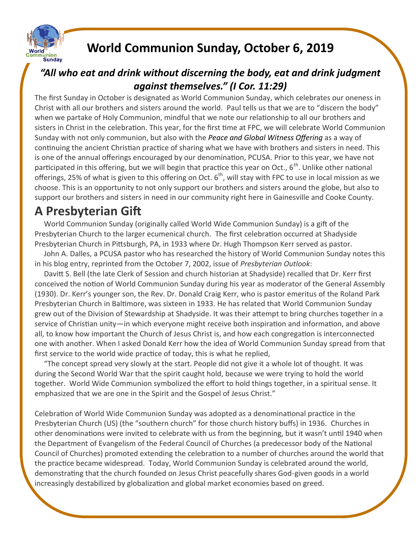

# **World Communion Sunday, October 6, 2019**

### *"All who eat and drink without discerning the body, eat and drink judgment against themselves." (I Cor. 11:29)*

The first Sunday in October is designated as World Communion Sunday, which celebrates our oneness in Christ with all our brothers and sisters around the world. Paul tells us that we are to "discern the body" when we partake of Holy Communion, mindful that we note our relationship to all our brothers and sisters in Christ in the celebration. This year, for the first time at FPC, we will celebrate World Communion Sunday with not only communion, but also with the *Peace [and Global Witness](http://specialofferings.pcusa.org/peace-global.html) Offering* as a way of continuing the ancient Christian practice of sharing what we have with brothers and sisters in need. This is one of the annual offerings encouraged by our denomination, PCUSA. Prior to this year, we have not participated in this offering, but we will begin that practice this year on Oct.,  $6^{th}$ . Unlike other national offerings, 25% of what is given to this offering on Oct.  $6<sup>th</sup>$ , will stay with FPC to use in local mission as we choose. This is an opportunity to not only support our brothers and sisters around the globe, but also to support our brothers and sisters in need in our community right here in Gainesville and Cooke County.

## **A Presbyterian Gift**

 World Communion Sunday (originally called World Wide Communion Sunday) is a gift of the Presbyterian Church to the larger ecumenical church. The first celebration occurred at Shadyside Presbyterian Church in Pittsburgh, PA, in 1933 where Dr. Hugh Thompson Kerr served as pastor.

 John A. Dalles, a PCUSA pastor who has researched the history of World Communion Sunday notes this in his blog entry, reprinted from the October 7, 2002, issue of *Presbyterian Outlook*:

 Davitt S. Bell (the late Clerk of Session and church historian at Shadyside) recalled that Dr. Kerr first conceived the notion of World Communion Sunday during his year as moderator of the General Assembly (1930). Dr. Kerr's younger son, the Rev. Dr. Donald Craig Kerr, who is pastor emeritus of the Roland Park Presbyterian Church in Baltimore, was sixteen in 1933. He has related that World Communion Sunday grew out of the Division of Stewardship at Shadyside. It was their attempt to bring churches together in a service of Christian unity—in which everyone might receive both inspiration and information, and above all, to know how important the Church of Jesus Christ is, and how each congregation is interconnected one with another. When I asked Donald Kerr how the idea of World Communion Sunday spread from that first service to the world wide practice of today, this is what he replied,

 "The concept spread very slowly at the start. People did not give it a whole lot of thought. It was during the Second World War that the spirit caught hold, because we were trying to hold the world together. World Wide Communion symbolized the effort to hold things together, in a spiritual sense. It emphasized that we are one in the Spirit and the Gospel of Jesus Christ."

Celebration of World Wide Communion Sunday was adopted as a denominational practice in the Presbyterian Church (US) (the "southern church" for those church history buffs) in 1936. Churches in other denominations were invited to celebrate with us from the beginning, but it wasn't until 1940 when the Department of Evangelism of the Federal Council of Churches (a predecessor body of the National Council of Churches) promoted extending the celebration to a number of churches around the world that the practice became widespread. Today, World Communion Sunday is celebrated around the world, demonstrating that the church founded on Jesus Christ peacefully shares God-given goods in a world increasingly destabilized by globalization and global market economies based on greed.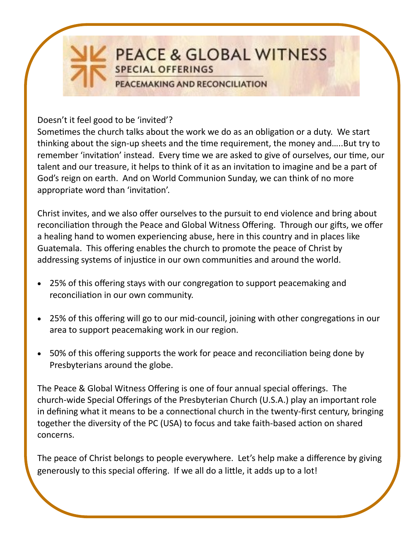

Doesn't it feel good to be 'invited'?

Sometimes the church talks about the work we do as an obligation or a duty. We start thinking about the sign-up sheets and the time requirement, the money and…..But try to remember 'invitation' instead. Every time we are asked to give of ourselves, our time, our talent and our treasure, it helps to think of it as an invitation to imagine and be a part of God's reign on earth. And on World Communion Sunday, we can think of no more appropriate word than 'invitation'.

Christ invites, and we also offer ourselves to the pursuit to end violence and bring about reconciliation through the Peace and Global Witness Offering. Through our gifts, we offer a healing hand to women experiencing abuse, here in this country and in places like Guatemala. This offering enables the church to promote the peace of Christ by addressing systems of injustice in our own communities and around the world.

- 25% of this offering stays with our congregation to support peacemaking and reconciliation in our own community.
- 25% of this offering will go to our mid-council, joining with other congregations in our area to support peacemaking work in our region.
- 50% of this offering supports the work for peace and reconciliation being done by Presbyterians around the globe.

The Peace & Global Witness Offering is one of four annual special offerings. The church-wide Special Offerings of the Presbyterian Church (U.S.A.) play an important role in defining what it means to be a connectional church in the twenty-first century, bringing together the diversity of the PC (USA) to focus and take faith-based action on shared concerns.

The peace of Christ belongs to people everywhere. Let's help make a difference by giving generously to this special offering. If we all do a little, it adds up to a lot!